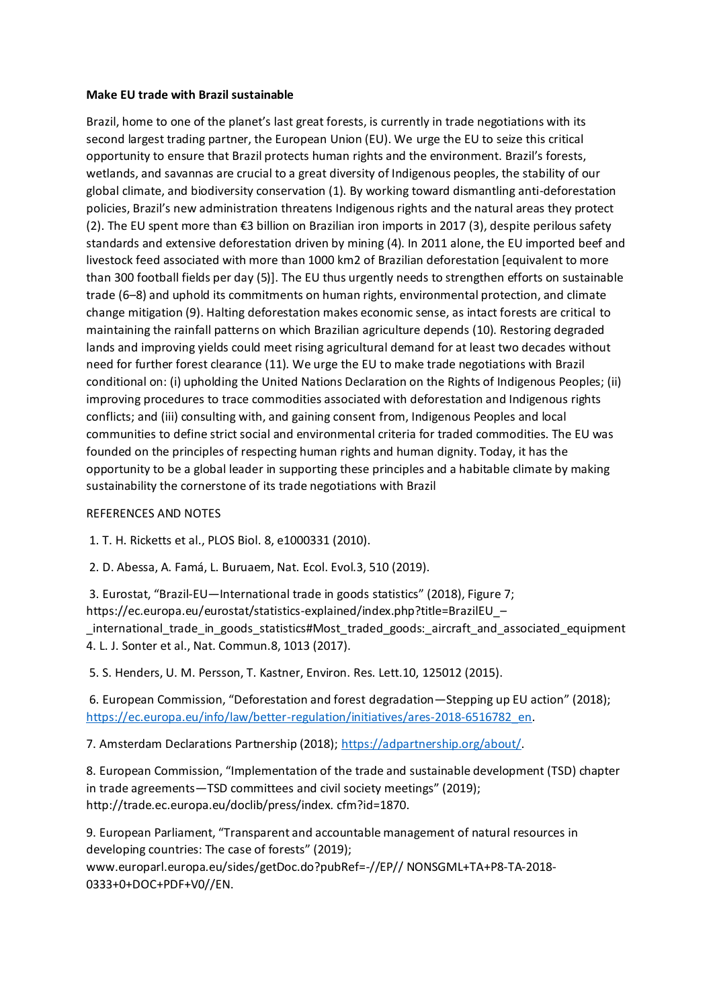## **Make EU trade with Brazil sustainable**

Brazil, home to one of the planet's last great forests, is currently in trade negotiations with its second largest trading partner, the European Union (EU). We urge the EU to seize this critical opportunity to ensure that Brazil protects human rights and the environment. Brazil's forests, wetlands, and savannas are crucial to a great diversity of Indigenous peoples, the stability of our global climate, and biodiversity conservation (1). By working toward dismantling anti-deforestation policies, Brazil's new administration threatens Indigenous rights and the natural areas they protect (2). The EU spent more than €3 billion on Brazilian iron imports in 2017 (3), despite perilous safety standards and extensive deforestation driven by mining (4). In 2011 alone, the EU imported beef and livestock feed associated with more than 1000 km2 of Brazilian deforestation [equivalent to more than 300 football fields per day (5)]. The EU thus urgently needs to strengthen efforts on sustainable trade (6–8) and uphold its commitments on human rights, environmental protection, and climate change mitigation (9). Halting deforestation makes economic sense, as intact forests are critical to maintaining the rainfall patterns on which Brazilian agriculture depends (10). Restoring degraded lands and improving yields could meet rising agricultural demand for at least two decades without need for further forest clearance (11). We urge the EU to make trade negotiations with Brazil conditional on: (i) upholding the United Nations Declaration on the Rights of Indigenous Peoples; (ii) improving procedures to trace commodities associated with deforestation and Indigenous rights conflicts; and (iii) consulting with, and gaining consent from, Indigenous Peoples and local communities to define strict social and environmental criteria for traded commodities. The EU was founded on the principles of respecting human rights and human dignity. Today, it has the opportunity to be a global leader in supporting these principles and a habitable climate by making sustainability the cornerstone of its trade negotiations with Brazil

## REFERENCES AND NOTES

1. T. H. Ricketts et al., PLOS Biol. 8, e1000331 (2010).

2. D. Abessa, A. Famá, L. Buruaem, Nat. Ecol. Evol.3, 510 (2019).

3. Eurostat, "Brazil-EU—International trade in goods statistics" (2018), Figure 7; https://ec.europa.eu/eurostat/statistics-explained/index.php?title=BrazilEU\_– \_international\_trade\_in\_goods\_statistics#Most\_traded\_goods:\_aircraft\_and\_associated\_equipment 4. L. J. Sonter et al., Nat. Commun.8, 1013 (2017).

5. S. Henders, U. M. Persson, T. Kastner, Environ. Res. Lett.10, 125012 (2015).

6. European Commission, "Deforestation and forest degradation—Stepping up EU action" (2018); [https://ec.europa.eu/info/law/better-regulation/initiatives/ares-2018-6516782\\_en.](https://ec.europa.eu/info/law/better-regulation/initiatives/ares-2018-6516782_en)

7. Amsterdam Declarations Partnership (2018); [https://adpartnership.org/about/.](https://adpartnership.org/about/)

8. European Commission, "Implementation of the trade and sustainable development (TSD) chapter in trade agreements—TSD committees and civil society meetings" (2019); http://trade.ec.europa.eu/doclib/press/index. cfm?id=1870.

9. European Parliament, "Transparent and accountable management of natural resources in developing countries: The case of forests" (2019); www.europarl.europa.eu/sides/getDoc.do?pubRef=-//EP// NONSGML+TA+P8-TA-2018- 0333+0+DOC+PDF+V0//EN.